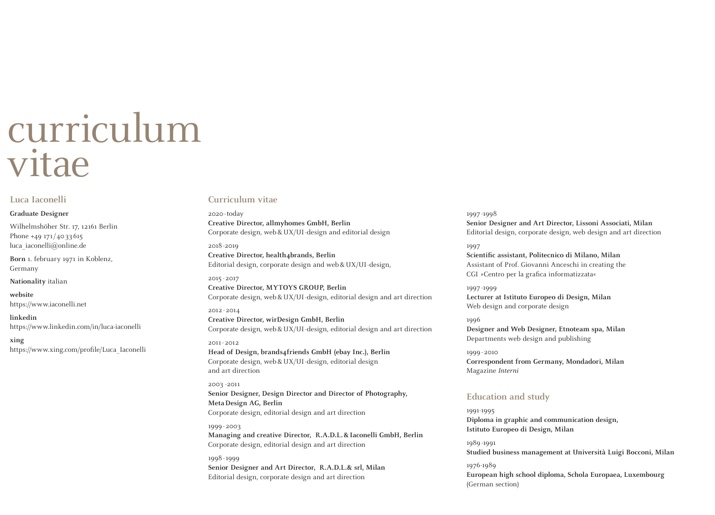# curriculum vitae

# **Luca Iaconelli**

## **Graduate Designer**

Wilhelmshöher Str. 17, 12161 Berlin Phone +49 171/4033615 luca\_iaconelli@online.de

**Born** 1. february 1971 in Koblenz, Germany

**Nationality** italian

**website** https://www.iaconelli.net

**linkedin** https://www.linkedin.com/in/luca-iaconelli

**xing** https://www.xing.com/profile/Luca\_Iaconelli

# **Curriculum vitae**

2020-today **Creative Director, allmyhomes GmbH, Berlin** Corporate design, web&UX/UI-design and editorial design

2018 -2019 **Creative Director, health4brands, Berlin** Editorial design, corporate design and web&UX/UI-design,

2015 - 2017 **Creative Director, MYTOYS GROUP, Berlin** Corporate design, web&UX/UI-design, editorial design and art direction

2012 -2014 **Creative Director, wirDesign GmbH, Berlin**  Corporate design, web&UX/UI-design, editorial design and art direction

2011-2012 **Head of Design, brands4friends GmbH (ebay Inc.), Berlin**  Corporate design, web&UX/UI-design, editorial design and art direction

2003 -2011 **Senior Designer, Design Director and Director of Photography, MetaDesign AG, Berlin**  Corporate design, editorial design and art direction

1999-2003 **Managing and creative Director, R.A.D.L.&Iaconelli GmbH, Berlin**  Corporate design, editorial design and art direction

1998-1999 **Senior Designer and Art Director, R.A.D.L.& srl, Milan**  Editorial design, corporate design and art direction

1997 -1998 **Senior Designer and Art Director, Lissoni Associati, Milan** Editorial design, corporate design, web design and art direction

## 1997

**Scientific assistant, Politecnico di Milano, Milan** Assistant of Prof. Giovanni Anceschi in creating the CGI »Centro per la grafica informatizzata«

1997 -1999 **Lecturer at Istituto Europeo di Design, Milan** Web design and corporate design

## 1996

**Designer and Web Designer, Etnoteam spa, Milan**  Departments web design and publishing

1999 - 2010 **Correspondent from Germany, Mondadori, Milan** Magazine Interni

# **Education and study**

1991-1995 **Diploma in graphic and communication design, Istituto Europeo di Design, Milan**

1989-1991 **Studied business management at Università Luigi Bocconi, Milan**

1976-1989 **European high school diploma, Schola Europaea, Luxembourg**  (German section)